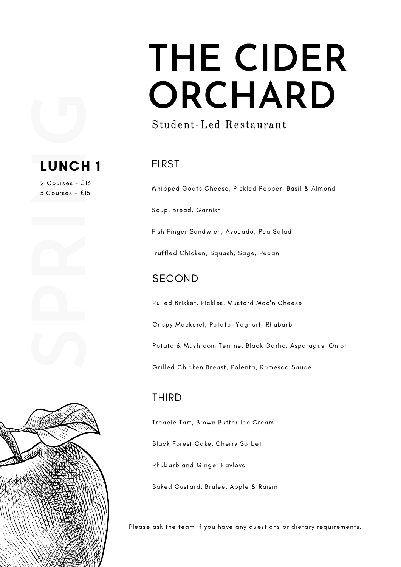## **THE CIDER ORCHARD**

### Student-Led Restaurant

### FIRST

Whipped Goats Cheese, Pickled Pepper, Basil & Almond

Soup, Bread, Garnish

Fish Finger Sandwich, Avocado, Pea Salad

Truffled Chicken, Squash, Sage, Pecan

### SECOND

Pulled Brisket, Pickles, Mustard Mac'n Cheese

Crispy Mackerel, Potato, Yoghurt, Rhubarb

Potato & Mushroom Terrine, Black Garlic, Asparagus, Onion

Grilled Chicken Breast, Polenta, Romesco Sauce

### THIRD

Treacle Tart, Brown Butter Ice Cream

Black Forest Cake, Cherry Sorbet

Rhubarb and Ginger Pavlova

Baked Custard, Brulee, Apple & Raisin

Please ask the team if you have any questions or dietary requirements.



**LUNCH 1**<br>
2 Courses - £13<br>
3 Courses - £15

2 Courses - £13 3 Courses - £15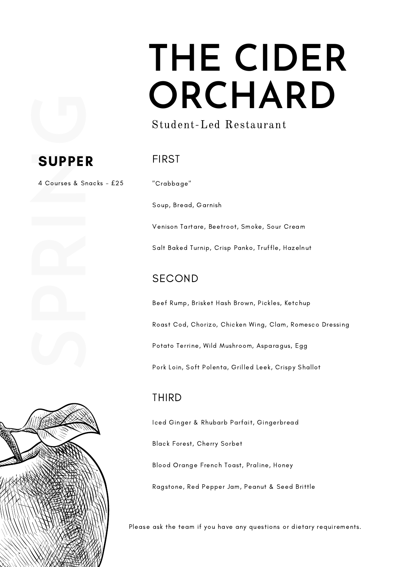## **THE CIDER ORCHARD**

### Student-Led Restaurant

# **SUPPER**<br>4 Courses & Snac

### FIRST

4 Courses & Snacks - £25





"Crabbage"

Soup, Bread, Garnish

Venison Tartare, Beetroot, Smoke, Sour Cream

Salt Baked Turnip, Crisp Panko, Truffle, Hazelnut

#### SECOND

Beef Rump, Brisket Hash Brown, Pickles, Ketchup Roast Cod, Chorizo, Chicken Wing, Clam, Romesco Dressing Potato Terrine, Wild Mushroom, Asparagus, Egg Pork Loin, Soft Polenta, Grilled Leek, Crispy Shallot

### THIRD

Iced Ginger & Rhubarb Parfait, Gingerbread

Black Forest, Cherry Sorbet

Blood Orange French Toast, Praline, Honey

Ragstone, Red Pepper Jam, Peanut & Seed Brittle

Please ask the team if you have any questions or dietary requirements.